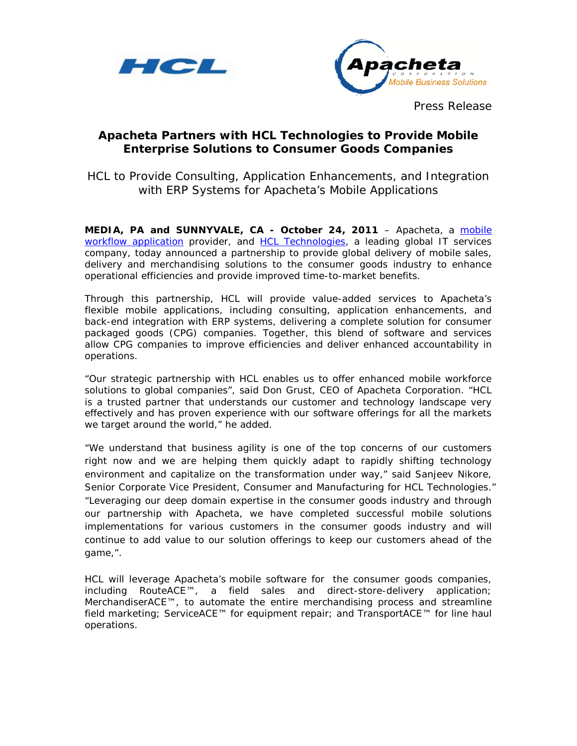



Press Release

# **Apacheta Partners with HCL Technologies to Provide Mobile Enterprise Solutions to Consumer Goods Companies**

*HCL to Provide Consulting, Application Enhancements, and Integration with ERP Systems for Apacheta's Mobile Applications*

**MEDIA, PA and SUNNYVALE, CA - October 24, 2011** – Apacheta, a [mobile](http://www.apacheta.com/)  [workflow application](http://www.apacheta.com/) provider, and [HCL Technologies,](http://www.hcltech.com/) a leading global IT services company, today announced a partnership to provide global delivery of mobile sales, delivery and merchandising solutions to the consumer goods industry to enhance operational efficiencies and provide improved time-to-market benefits.

Through this partnership, HCL will provide value-added services to Apacheta's flexible mobile applications, including consulting, application enhancements, and back-end integration with ERP systems, delivering a complete solution for consumer packaged goods (CPG) companies. Together, this blend of software and services allow CPG companies to improve efficiencies and deliver enhanced accountability in operations.

"Our strategic partnership with HCL enables us to offer enhanced mobile workforce solutions to global companies", said Don Grust, CEO of Apacheta Corporation. "HCL is a trusted partner that understands our customer and technology landscape very effectively and has proven experience with our software offerings for all the markets we target around the world," he added.

"We understand that business agility is one of the top concerns of our customers right now and we are helping them quickly adapt to rapidly shifting technology environment and capitalize on the transformation under way," said Sanjeev Nikore, Senior Corporate Vice President, Consumer and Manufacturing for HCL Technologies." "Leveraging our deep domain expertise in the consumer goods industry and through our partnership with Apacheta, we have completed successful mobile solutions implementations for various customers in the consumer goods industry and will continue to add value to our solution offerings to keep our customers ahead of the game,".

HCL will leverage Apacheta's mobile software for the consumer goods companies, including [RouteACE™,](http://www.apacheta.com/products/vs-routeace.htm) a field sales and direct-store-delivery application; [MerchandiserACE™,](http://www.apacheta.com/company/pr_20100409.htm) to automate the entire merchandising process and streamline field marketing; [ServiceACE™](http://www.apacheta.com/products/vs-serviceace.htm) for equipment repair; and [TransportACE™](http://www.apacheta.com/products/vs-transportace.htm) for line haul operations.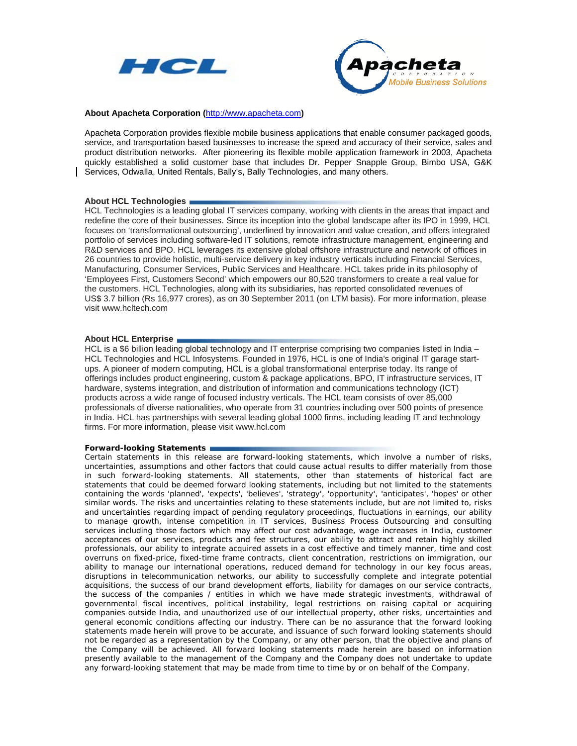



## **About Apacheta Corporation (**[http://www.apacheta.com](http://www.apacheta.com/)**)**

Apacheta Corporation provides flexible mobile business applications that enable consumer packaged goods, service, and transportation based businesses to increase the speed and accuracy of their service, sales and product distribution networks. After pioneering its flexible mobile application framework in 2003, Apacheta quickly established a solid customer base that includes Dr. Pepper Snapple Group, Bimbo USA, G&K Services, Odwalla, United Rentals, Bally's, Bally Technologies, and many others.

#### **About HCL Technologies**

HCL Technologies is a leading global IT services company, working with clients in the areas that impact and redefine the core of their businesses. Since its inception into the global landscape after its IPO in 1999, HCL focuses on 'transformational outsourcing', underlined by innovation and value creation, and offers integrated portfolio of services including software-led IT solutions, remote infrastructure management, engineering and R&D services and BPO. HCL leverages its extensive global offshore infrastructure and network of offices in 26 countries to provide holistic, multi-service delivery in key industry verticals including Financial Services, Manufacturing, Consumer Services, Public Services and Healthcare. HCL takes pride in its philosophy of 'Employees First, Customers Second' which empowers our 80,520 transformers to create a real value for the customers. HCL Technologies, along with its subsidiaries, has reported consolidated revenues of US\$ 3.7 billion (Rs 16,977 crores), as on 30 September 2011 (on LTM basis). For more information, please visit [www.hcltech.com](http://www.hcltech.com/) 

### **About HCL Enterprise**

HCL is a \$6 billion leading global technology and IT enterprise comprising two companies listed in India -HCL Technologies and HCL Infosystems. Founded in 1976, HCL is one of India's original IT garage startups. A pioneer of modern computing, HCL is a global transformational enterprise today. Its range of offerings includes product engineering, custom & package applications, BPO, IT infrastructure services, IT hardware, systems integration, and distribution of information and communications technology (ICT) products across a wide range of focused industry verticals. The HCL team consists of over 85,000 professionals of diverse nationalities, who operate from 31 countries including over 500 points of presence in India. HCL has partnerships with several leading global 1000 firms, including leading IT and technology firms. For more information, please visit [www.hcl.com](http://www.hcl.com/)

#### **Forward-looking Statements**

*Certain statements in this release are forward-looking statements, which involve a number of risks, uncertainties, assumptions and other factors that could cause actual results to differ materially from those in such forward-looking statements. All statements, other than statements of historical fact are statements that could be deemed forward looking statements, including but not limited to the statements containing the words 'planned', 'expects', 'believes', 'strategy', 'opportunity', 'anticipates', 'hopes' or other similar words. The risks and uncertainties relating to these statements include, but are not limited to, risks and uncertainties regarding impact of pending regulatory proceedings, fluctuations in earnings, our ability*  to manage growth, intense competition in IT services, Business Process Outsourcing and consulting services including those factors which may affect our cost advantage, wage increases in India, customer *acceptances of our services, products and fee structures, our ability to attract and retain highly skilled professionals, our ability to integrate acquired assets in a cost effective and timely manner, time and cost overruns on fixed-price, fixed-time frame contracts, client concentration, restrictions on immigration, our ability to manage our international operations, reduced demand for technology in our key focus areas, disruptions in telecommunication networks, our ability to successfully complete and integrate potential acquisitions, the success of our brand development efforts, liability for damages on our service contracts, the success of the companies / entities in which we have made strategic investments, withdrawal of governmental fiscal incentives, political instability, legal restrictions on raising capital or acquiring companies outside India, and unauthorized use of our intellectual property, other risks, uncertainties and general economic conditions affecting our industry. There can be no assurance that the forward looking statements made herein will prove to be accurate, and issuance of such forward looking statements should not be regarded as a representation by the Company, or any other person, that the objective and plans of the Company will be achieved. All forward looking statements made herein are based on information presently available to the management of the Company and the Company does not undertake to update any forward-looking statement that may be made from time to time by or on behalf of the Company.*